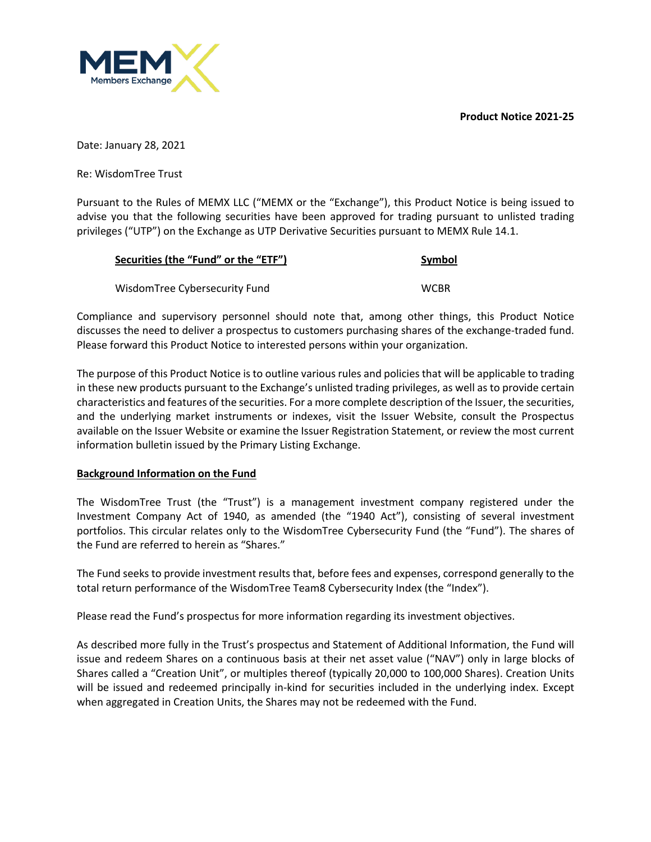**Product Notice 2021-25**



Date: January 28, 2021

Re: WisdomTree Trust

Pursuant to the Rules of MEMX LLC ("MEMX or the "Exchange"), this Product Notice is being issued to advise you that the following securities have been approved for trading pursuant to unlisted trading privileges ("UTP") on the Exchange as UTP Derivative Securities pursuant to MEMX Rule 14.1.

| Securities (the "Fund" or the "ETF") | Symbol      |  |
|--------------------------------------|-------------|--|
| WisdomTree Cybersecurity Fund        | <b>WCBR</b> |  |

Compliance and supervisory personnel should note that, among other things, this Product Notice discusses the need to deliver a prospectus to customers purchasing shares of the exchange-traded fund. Please forward this Product Notice to interested persons within your organization.

The purpose of this Product Notice is to outline various rules and policies that will be applicable to trading in these new products pursuant to the Exchange's unlisted trading privileges, as well as to provide certain characteristics and features of the securities. For a more complete description of the Issuer, the securities, and the underlying market instruments or indexes, visit the Issuer Website, consult the Prospectus available on the Issuer Website or examine the Issuer Registration Statement, or review the most current information bulletin issued by the Primary Listing Exchange.

## **Background Information on the Fund**

The WisdomTree Trust (the "Trust") is a management investment company registered under the Investment Company Act of 1940, as amended (the "1940 Act"), consisting of several investment portfolios. This circular relates only to the WisdomTree Cybersecurity Fund (the "Fund"). The shares of the Fund are referred to herein as "Shares."

The Fund seeks to provide investment results that, before fees and expenses, correspond generally to the total return performance of the WisdomTree Team8 Cybersecurity Index (the "Index").

Please read the Fund's prospectus for more information regarding its investment objectives.

As described more fully in the Trust's prospectus and Statement of Additional Information, the Fund will issue and redeem Shares on a continuous basis at their net asset value ("NAV") only in large blocks of Shares called a "Creation Unit", or multiples thereof (typically 20,000 to 100,000 Shares). Creation Units will be issued and redeemed principally in-kind for securities included in the underlying index. Except when aggregated in Creation Units, the Shares may not be redeemed with the Fund.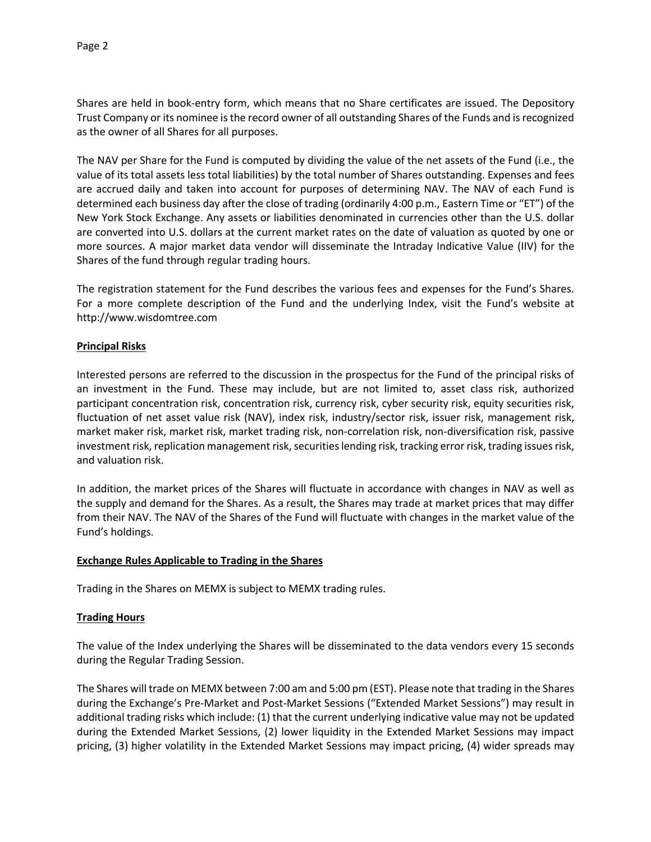Shares are held in book-entry form, which means that no Share certificates are issued. The Depository Trust Company or its nominee is the record owner of all outstanding Shares of the Funds and is recognized as the owner of all Shares for all purposes.

The NAV per Share for the Fund is computed by dividing the value of the net assets of the Fund (i.e., the value of its total assets less total liabilities) by the total number of Shares outstanding. Expenses and fees are accrued daily and taken into account for purposes of determining NAV. The NAV of each Fund is determined each business day after the close of trading (ordinarily 4:00 p.m., Eastern Time or "ET") of the New York Stock Exchange. Any assets or liabilities denominated in currencies other than the U.S. dollar are converted into U.S. dollars at the current market rates on the date of valuation as quoted by one or more sources. A major market data vendor will disseminate the Intraday Indicative Value (IIV) for the Shares of the fund through regular trading hours.

The registration statement for the Fund describes the various fees and expenses for the Fund's Shares. For a more complete description of the Fund and the underlying Index, visit the Fund's website at http://www.wisdomtree.com

## **Principal Risks**

Interested persons are referred to the discussion in the prospectus for the Fund of the principal risks of an investment in the Fund. These may include, but are not limited to, asset class risk, authorized participant concentration risk, concentration risk, currency risk, cyber security risk, equity securities risk, fluctuation of net asset value risk (NAV), index risk, industry/sector risk, issuer risk, management risk, market maker risk, market risk, market trading risk, non-correlation risk, non-diversification risk, passive investment risk, replication management risk, securities lending risk, tracking error risk, trading issues risk, and valuation risk.

In addition, the market prices of the Shares will fluctuate in accordance with changes in NAV as well as the supply and demand for the Shares. As a result, the Shares may trade at market prices that may differ from their NAV. The NAV of the Shares of the Fund will fluctuate with changes in the market value of the Fund's holdings.

#### **Exchange Rules Applicable to Trading in the Shares**

Trading in the Shares on MEMX is subject to MEMX trading rules.

## **Trading Hours**

The value of the Index underlying the Shares will be disseminated to the data vendors every 15 seconds during the Regular Trading Session.

The Shares will trade on MEMX between 7:00 am and 5:00 pm (EST). Please note that trading in the Shares during the Exchange's Pre-Market and Post-Market Sessions ("Extended Market Sessions") may result in additional trading risks which include: (1) that the current underlying indicative value may not be updated during the Extended Market Sessions, (2) lower liquidity in the Extended Market Sessions may impact pricing, (3) higher volatility in the Extended Market Sessions may impact pricing, (4) wider spreads may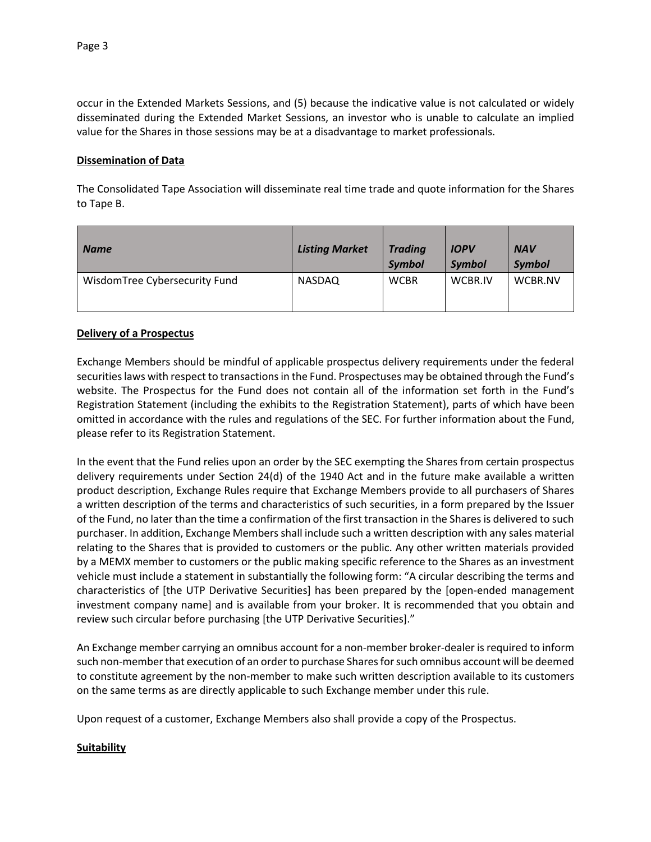occur in the Extended Markets Sessions, and (5) because the indicative value is not calculated or widely disseminated during the Extended Market Sessions, an investor who is unable to calculate an implied value for the Shares in those sessions may be at a disadvantage to market professionals.

## **Dissemination of Data**

The Consolidated Tape Association will disseminate real time trade and quote information for the Shares to Tape B.

| <b>Name</b>                   | <b>Listing Market</b> | <b>Trading</b><br><b>Symbol</b> | <b>IOPV</b><br>Symbol | <b>NAV</b><br><b>Symbol</b> |
|-------------------------------|-----------------------|---------------------------------|-----------------------|-----------------------------|
| WisdomTree Cybersecurity Fund | <b>NASDAQ</b>         | <b>WCBR</b>                     | WCBR.IV               | WCBR.NV                     |

#### **Delivery of a Prospectus**

Exchange Members should be mindful of applicable prospectus delivery requirements under the federal securities laws with respect to transactions in the Fund. Prospectuses may be obtained through the Fund's website. The Prospectus for the Fund does not contain all of the information set forth in the Fund's Registration Statement (including the exhibits to the Registration Statement), parts of which have been omitted in accordance with the rules and regulations of the SEC. For further information about the Fund, please refer to its Registration Statement.

In the event that the Fund relies upon an order by the SEC exempting the Shares from certain prospectus delivery requirements under Section 24(d) of the 1940 Act and in the future make available a written product description, Exchange Rules require that Exchange Members provide to all purchasers of Shares a written description of the terms and characteristics of such securities, in a form prepared by the Issuer of the Fund, no later than the time a confirmation of the first transaction in the Shares is delivered to such purchaser. In addition, Exchange Members shall include such a written description with any sales material relating to the Shares that is provided to customers or the public. Any other written materials provided by a MEMX member to customers or the public making specific reference to the Shares as an investment vehicle must include a statement in substantially the following form: "A circular describing the terms and characteristics of [the UTP Derivative Securities] has been prepared by the [open-ended management investment company name] and is available from your broker. It is recommended that you obtain and review such circular before purchasing [the UTP Derivative Securities]."

An Exchange member carrying an omnibus account for a non-member broker-dealer is required to inform such non-member that execution of an order to purchase Shares for such omnibus account will be deemed to constitute agreement by the non-member to make such written description available to its customers on the same terms as are directly applicable to such Exchange member under this rule.

Upon request of a customer, Exchange Members also shall provide a copy of the Prospectus.

## **Suitability**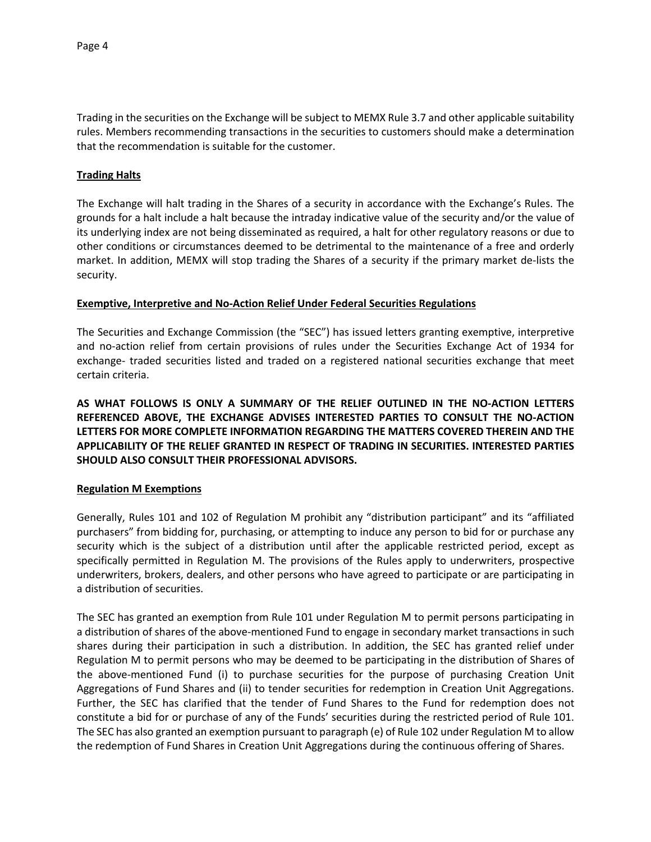Trading in the securities on the Exchange will be subject to MEMX Rule 3.7 and other applicable suitability rules. Members recommending transactions in the securities to customers should make a determination that the recommendation is suitable for the customer.

### **Trading Halts**

The Exchange will halt trading in the Shares of a security in accordance with the Exchange's Rules. The grounds for a halt include a halt because the intraday indicative value of the security and/or the value of its underlying index are not being disseminated as required, a halt for other regulatory reasons or due to other conditions or circumstances deemed to be detrimental to the maintenance of a free and orderly market. In addition, MEMX will stop trading the Shares of a security if the primary market de-lists the security.

#### **Exemptive, Interpretive and No-Action Relief Under Federal Securities Regulations**

The Securities and Exchange Commission (the "SEC") has issued letters granting exemptive, interpretive and no-action relief from certain provisions of rules under the Securities Exchange Act of 1934 for exchange- traded securities listed and traded on a registered national securities exchange that meet certain criteria.

**AS WHAT FOLLOWS IS ONLY A SUMMARY OF THE RELIEF OUTLINED IN THE NO-ACTION LETTERS REFERENCED ABOVE, THE EXCHANGE ADVISES INTERESTED PARTIES TO CONSULT THE NO-ACTION LETTERS FOR MORE COMPLETE INFORMATION REGARDING THE MATTERS COVERED THEREIN AND THE APPLICABILITY OF THE RELIEF GRANTED IN RESPECT OF TRADING IN SECURITIES. INTERESTED PARTIES SHOULD ALSO CONSULT THEIR PROFESSIONAL ADVISORS.**

## **Regulation M Exemptions**

Generally, Rules 101 and 102 of Regulation M prohibit any "distribution participant" and its "affiliated purchasers" from bidding for, purchasing, or attempting to induce any person to bid for or purchase any security which is the subject of a distribution until after the applicable restricted period, except as specifically permitted in Regulation M. The provisions of the Rules apply to underwriters, prospective underwriters, brokers, dealers, and other persons who have agreed to participate or are participating in a distribution of securities.

The SEC has granted an exemption from Rule 101 under Regulation M to permit persons participating in a distribution of shares of the above-mentioned Fund to engage in secondary market transactions in such shares during their participation in such a distribution. In addition, the SEC has granted relief under Regulation M to permit persons who may be deemed to be participating in the distribution of Shares of the above-mentioned Fund (i) to purchase securities for the purpose of purchasing Creation Unit Aggregations of Fund Shares and (ii) to tender securities for redemption in Creation Unit Aggregations. Further, the SEC has clarified that the tender of Fund Shares to the Fund for redemption does not constitute a bid for or purchase of any of the Funds' securities during the restricted period of Rule 101. The SEC has also granted an exemption pursuant to paragraph (e) of Rule 102 under Regulation M to allow the redemption of Fund Shares in Creation Unit Aggregations during the continuous offering of Shares.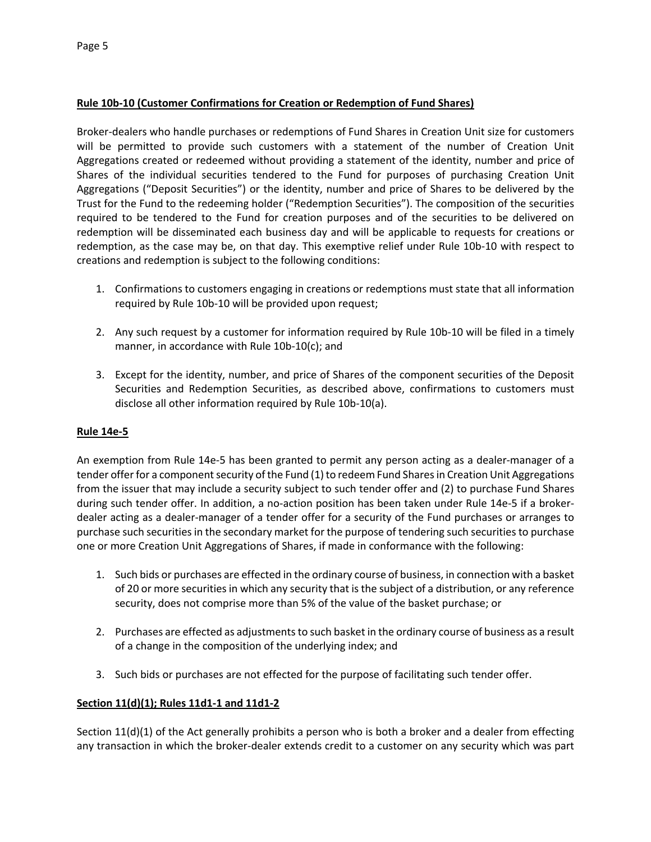# **Rule 10b-10 (Customer Confirmations for Creation or Redemption of Fund Shares)**

Broker-dealers who handle purchases or redemptions of Fund Shares in Creation Unit size for customers will be permitted to provide such customers with a statement of the number of Creation Unit Aggregations created or redeemed without providing a statement of the identity, number and price of Shares of the individual securities tendered to the Fund for purposes of purchasing Creation Unit Aggregations ("Deposit Securities") or the identity, number and price of Shares to be delivered by the Trust for the Fund to the redeeming holder ("Redemption Securities"). The composition of the securities required to be tendered to the Fund for creation purposes and of the securities to be delivered on redemption will be disseminated each business day and will be applicable to requests for creations or redemption, as the case may be, on that day. This exemptive relief under Rule 10b-10 with respect to creations and redemption is subject to the following conditions:

- 1. Confirmations to customers engaging in creations or redemptions must state that all information required by Rule 10b-10 will be provided upon request;
- 2. Any such request by a customer for information required by Rule 10b-10 will be filed in a timely manner, in accordance with Rule 10b-10(c); and
- 3. Except for the identity, number, and price of Shares of the component securities of the Deposit Securities and Redemption Securities, as described above, confirmations to customers must disclose all other information required by Rule 10b-10(a).

## **Rule 14e-5**

An exemption from Rule 14e-5 has been granted to permit any person acting as a dealer-manager of a tender offer for a component security of the Fund (1) to redeem Fund Shares in Creation Unit Aggregations from the issuer that may include a security subject to such tender offer and (2) to purchase Fund Shares during such tender offer. In addition, a no-action position has been taken under Rule 14e-5 if a brokerdealer acting as a dealer-manager of a tender offer for a security of the Fund purchases or arranges to purchase such securities in the secondary market for the purpose of tendering such securities to purchase one or more Creation Unit Aggregations of Shares, if made in conformance with the following:

- 1. Such bids or purchases are effected in the ordinary course of business, in connection with a basket of 20 or more securities in which any security that is the subject of a distribution, or any reference security, does not comprise more than 5% of the value of the basket purchase; or
- 2. Purchases are effected as adjustments to such basket in the ordinary course of business as a result of a change in the composition of the underlying index; and
- 3. Such bids or purchases are not effected for the purpose of facilitating such tender offer.

## **Section 11(d)(1); Rules 11d1-1 and 11d1-2**

Section 11(d)(1) of the Act generally prohibits a person who is both a broker and a dealer from effecting any transaction in which the broker-dealer extends credit to a customer on any security which was part